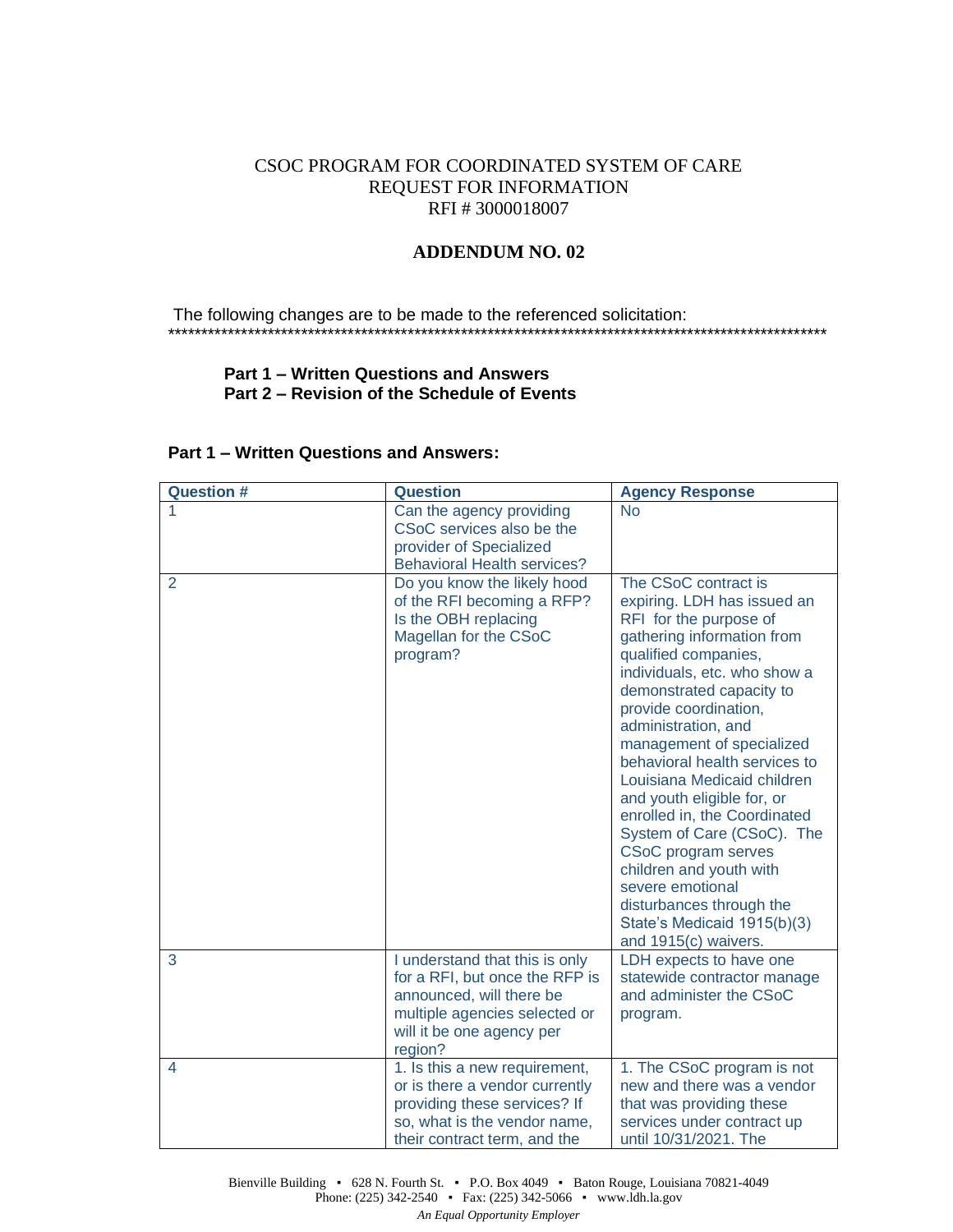# CSOC PROGRAM FOR COORDINATED SYSTEM OF CARE REQUEST FOR INFORMATION RFI # 3000018007

## **ADDENDUM NO. 02**

The following changes are to be made to the referenced solicitation: \*\*\*\*\*\*\*\*\*\*\*\*\*\*\*\*\*\*\*\*\*\*\*\*\*\*\*\*\*\*\*\*\*\*\*\*\*\*\*\*\*\*\*\*\*\*\*\*\*\*\*\*\*\*\*\*\*\*\*\*\*\*\*\*\*\*\*\*\*\*\*\*\*\*\*\*\*\*\*\*\*\*\*\*\*\*\*\*\*\*\*\*\*\*\*\*\*\*\*

### **Part 1 – Written Questions and Answers Part 2 – Revision of the Schedule of Events**

| <b>Question #</b> | <b>Question</b>                                                                                                                                                       | <b>Agency Response</b>                                                                                                                                                                                                                                                                                                                                                                                                                                                                                                                                                                                   |
|-------------------|-----------------------------------------------------------------------------------------------------------------------------------------------------------------------|----------------------------------------------------------------------------------------------------------------------------------------------------------------------------------------------------------------------------------------------------------------------------------------------------------------------------------------------------------------------------------------------------------------------------------------------------------------------------------------------------------------------------------------------------------------------------------------------------------|
|                   | Can the agency providing<br>CSoC services also be the<br>provider of Specialized<br><b>Behavioral Health services?</b>                                                | <b>No</b>                                                                                                                                                                                                                                                                                                                                                                                                                                                                                                                                                                                                |
| 2                 | Do you know the likely hood<br>of the RFI becoming a RFP?<br>Is the OBH replacing<br>Magellan for the CSoC<br>program?                                                | The CSoC contract is<br>expiring. LDH has issued an<br>RFI for the purpose of<br>gathering information from<br>qualified companies,<br>individuals, etc. who show a<br>demonstrated capacity to<br>provide coordination,<br>administration, and<br>management of specialized<br>behavioral health services to<br>Louisiana Medicaid children<br>and youth eligible for, or<br>enrolled in, the Coordinated<br>System of Care (CSoC). The<br><b>CSoC</b> program serves<br>children and youth with<br>severe emotional<br>disturbances through the<br>State's Medicaid 1915(b)(3)<br>and 1915(c) waivers. |
| 3                 | I understand that this is only<br>for a RFI, but once the RFP is<br>announced, will there be<br>multiple agencies selected or<br>will it be one agency per<br>region? | LDH expects to have one<br>statewide contractor manage<br>and administer the CSoC<br>program.                                                                                                                                                                                                                                                                                                                                                                                                                                                                                                            |
| 4                 | 1. Is this a new requirement,<br>or is there a vendor currently<br>providing these services? If<br>so, what is the vendor name,<br>their contract term, and the       | 1. The CSoC program is not<br>new and there was a vendor<br>that was providing these<br>services under contract up<br>until 10/31/2021. The                                                                                                                                                                                                                                                                                                                                                                                                                                                              |

#### **Part 1 – Written Questions and Answers:**

Bienville Building • 628 N. Fourth St. • P.O. Box 4049 • Baton Rouge, Louisiana 70821-4049 Phone: (225) 342-2540 ▪ Fax: (225) 342-5066 ▪ www.ldh.la.gov *An Equal Opportunity Employer*